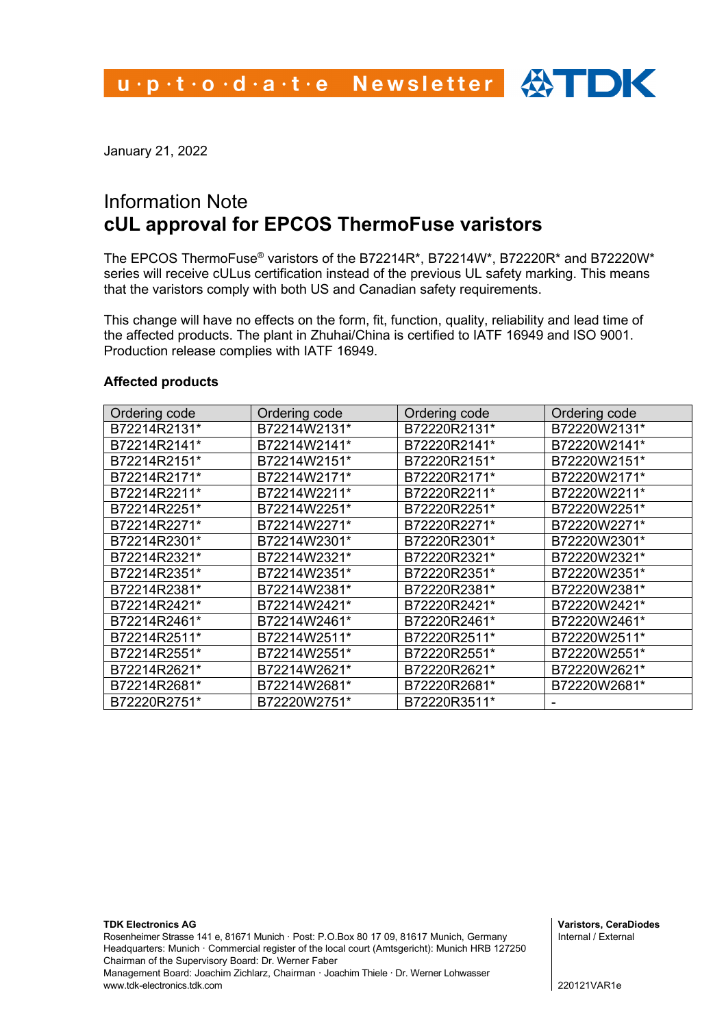January 21, 2022

# Information Note **cUL approval for EPCOS ThermoFuse varistors**

The EPCOS ThermoFuse® varistors of the B72214R\*, B72214W\*, B72220R\* and B72220W\* series will receive cULus certification instead of the previous UL safety marking. This means that the varistors comply with both US and Canadian safety requirements.

This change will have no effects on the form, fit, function, quality, reliability and lead time of the affected products. The plant in Zhuhai/China is certified to IATF 16949 and ISO 9001. Production release complies with IATF 16949.

### **Affected products**

| Ordering code | Ordering code | Ordering code | Ordering code |
|---------------|---------------|---------------|---------------|
| B72214R2131*  | B72214W2131*  | B72220R2131*  | B72220W2131*  |
| B72214R2141*  | B72214W2141*  | B72220R2141*  | B72220W2141*  |
| B72214R2151*  | B72214W2151*  | B72220R2151*  | B72220W2151*  |
| B72214R2171*  | B72214W2171*  | B72220R2171*  | B72220W2171*  |
| B72214R2211*  | B72214W2211*  | B72220R2211*  | B72220W2211*  |
| B72214R2251*  | B72214W2251*  | B72220R2251*  | B72220W2251*  |
| B72214R2271*  | B72214W2271*  | B72220R2271*  | B72220W2271*  |
| B72214R2301*  | B72214W2301*  | B72220R2301*  | B72220W2301*  |
| B72214R2321*  | B72214W2321*  | B72220R2321*  | B72220W2321*  |
| B72214R2351*  | B72214W2351*  | B72220R2351*  | B72220W2351*  |
| B72214R2381*  | B72214W2381*  | B72220R2381*  | B72220W2381*  |
| B72214R2421*  | B72214W2421*  | B72220R2421*  | B72220W2421*  |
| B72214R2461*  | B72214W2461*  | B72220R2461*  | B72220W2461*  |
| B72214R2511*  | B72214W2511*  | B72220R2511*  | B72220W2511*  |
| B72214R2551*  | B72214W2551*  | B72220R2551*  | B72220W2551*  |
| B72214R2621*  | B72214W2621*  | B72220R2621*  | B72220W2621*  |
| B72214R2681*  | B72214W2681*  | B72220R2681*  | B72220W2681*  |
| B72220R2751*  | B72220W2751*  | B72220R3511*  |               |

**Varistors, CeraDiodes** Internal / External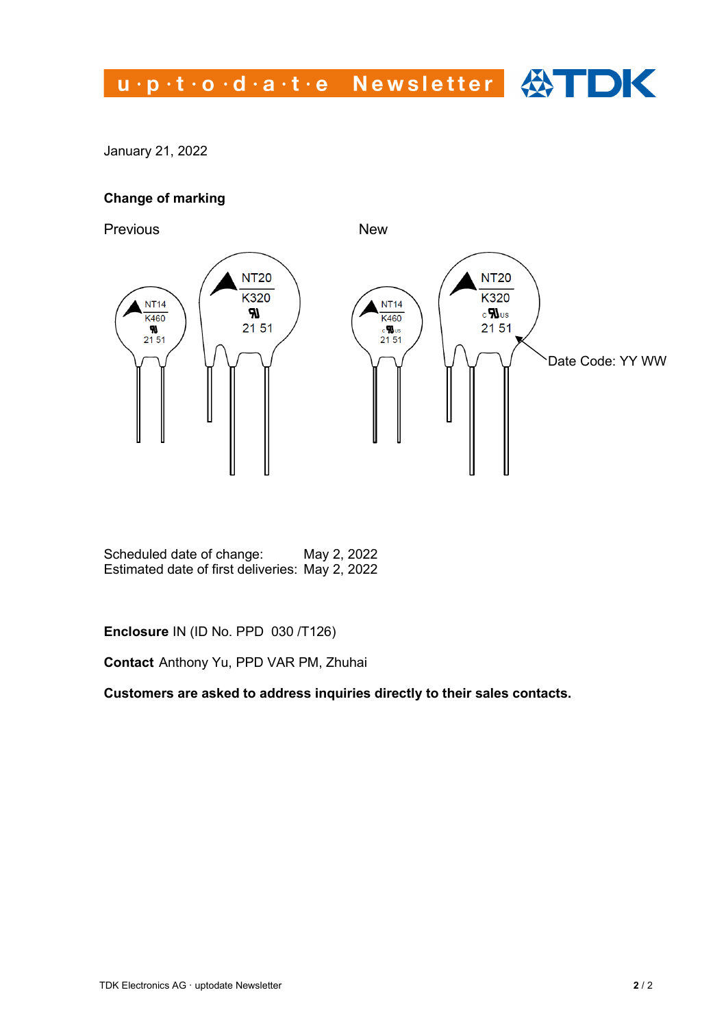# u.p.t.o.d.a.t.e Newsletter <>>>

January 21, 2022

### **Change of marking**



Scheduled date of change: May 2, 2022 Estimated date of first deliveries: May 2, 2022

**Enclosure** IN (ID No. PPD 030 /T126)

**Contact** Anthony Yu, PPD VAR PM, Zhuhai

**Customers are asked to address inquiries directly to their sales contacts.**